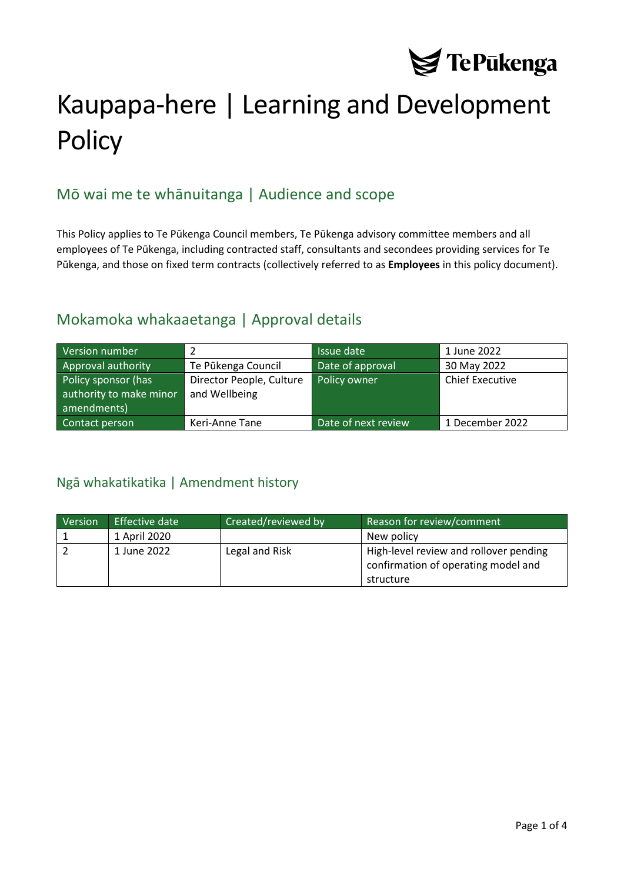

# Kaupapa-here | Learning and Development **Policy**

# Mō wai me te whānuitanga | Audience and scope

This Policy applies to Te Pūkenga Council members, Te Pūkenga advisory committee members and all employees of Te Pūkenga, including contracted staff, consultants and secondees providing services for Te Pūkenga, and those on fixed term contracts (collectively referred to as **Employees** in this policy document).

### Mokamoka whakaaetanga | Approval details

| Version number                                                |                                           | Issue date          | 1 June 2022            |
|---------------------------------------------------------------|-------------------------------------------|---------------------|------------------------|
| Approval authority                                            | Te Pūkenga Council                        | Date of approval    | 30 May 2022            |
| Policy sponsor (has<br>authority to make minor<br>amendments) | Director People, Culture<br>and Wellbeing | Policy owner        | <b>Chief Executive</b> |
| Contact person                                                | Keri-Anne Tane                            | Date of next review | 1 December 2022        |

#### <span id="page-0-0"></span>Ngā whakatikatika | Amendment history

| Version | Effective date | Created/reviewed by | Reason for review/comment                                                     |
|---------|----------------|---------------------|-------------------------------------------------------------------------------|
|         | 1 April 2020   |                     | New policy                                                                    |
|         | 1 June 2022    | Legal and Risk      | High-level review and rollover pending<br>confirmation of operating model and |
|         |                |                     | structure                                                                     |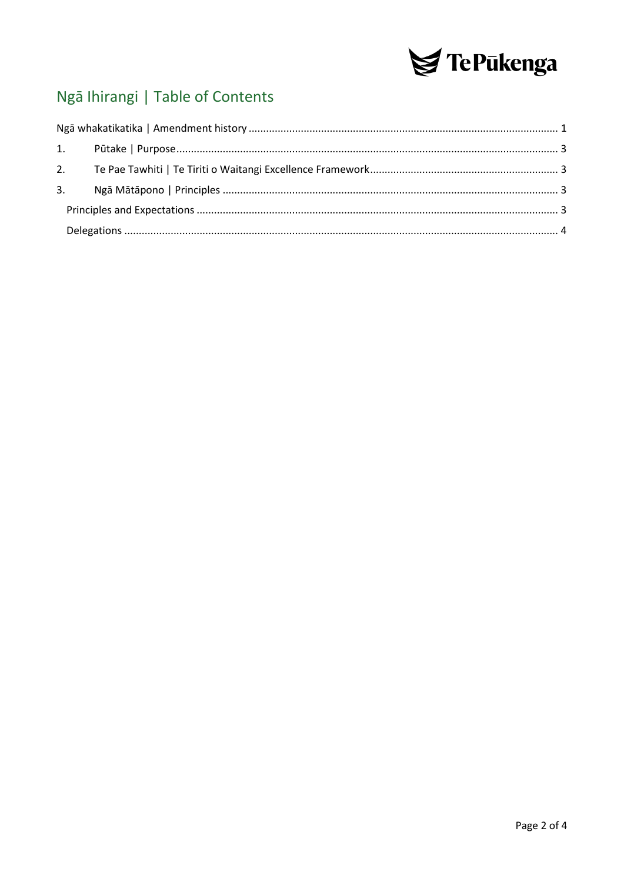

# Ngā Ihirangi | Table of Contents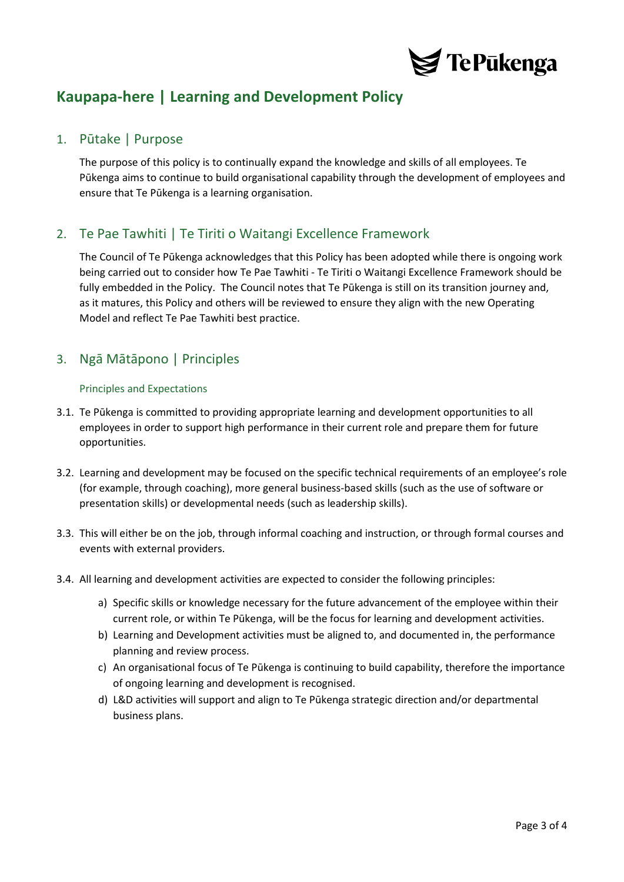

## **Kaupapa-here | Learning and Development Policy**

#### <span id="page-2-0"></span>1. Pūtake | Purpose

The purpose of this policy is to continually expand the knowledge and skills of all employees. Te Pūkenga aims to continue to build organisational capability through the development of employees and ensure that Te Pūkenga is a learning organisation.

#### <span id="page-2-1"></span>2. Te Pae Tawhiti | Te Tiriti o Waitangi Excellence Framework

The Council of Te Pūkenga acknowledges that this Policy has been adopted while there is ongoing work being carried out to consider how Te Pae Tawhiti - Te Tiriti o Waitangi Excellence Framework should be fully embedded in the Policy. The Council notes that Te Pūkenga is still on its transition journey and, as it matures, this Policy and others will be reviewed to ensure they align with the new Operating Model and reflect Te Pae Tawhiti best practice.

#### <span id="page-2-3"></span><span id="page-2-2"></span>3. Ngā Mātāpono | Principles

#### Principles and Expectations

- 3.1. Te Pūkenga is committed to providing appropriate learning and development opportunities to all employees in order to support high performance in their current role and prepare them for future opportunities.
- 3.2. Learning and development may be focused on the specific technical requirements of an employee's role (for example, through coaching), more general business-based skills (such as the use of software or presentation skills) or developmental needs (such as leadership skills).
- 3.3. This will either be on the job, through informal coaching and instruction, or through formal courses and events with external providers.
- 3.4. All learning and development activities are expected to consider the following principles:
	- a) Specific skills or knowledge necessary for the future advancement of the employee within their current role, or within Te Pūkenga, will be the focus for learning and development activities.
	- b) Learning and Development activities must be aligned to, and documented in, the performance planning and review process.
	- c) An organisational focus of Te Pūkenga is continuing to build capability, therefore the importance of ongoing learning and development is recognised.
	- d) L&D activities will support and align to Te Pūkenga strategic direction and/or departmental business plans.